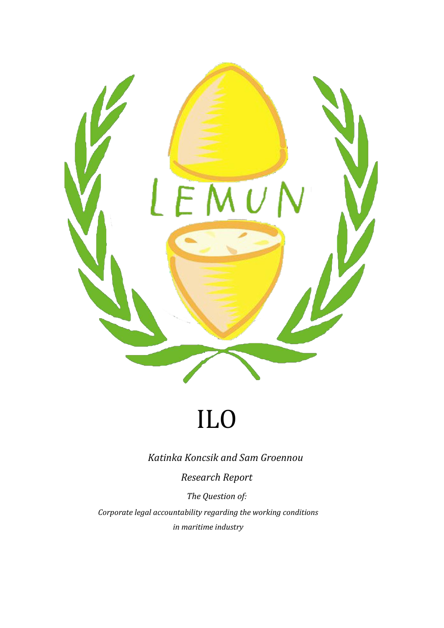

# ILO

*Katinka Koncsik and Sam Groennou*

*Research Report*

*The Question of:*

*Corporate legal accountability regarding the working conditions in maritime industry*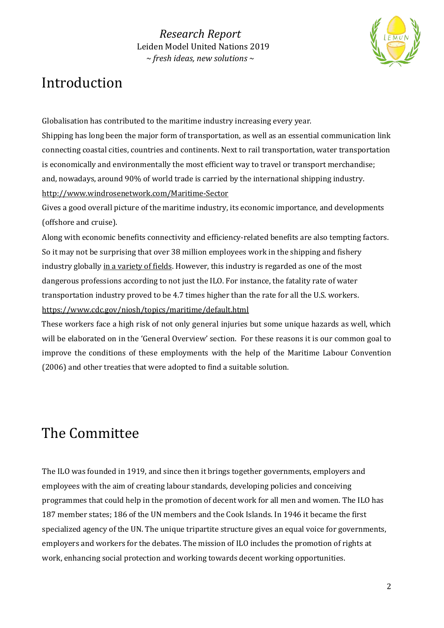

# Introduction

Globalisation has contributed to the maritime industry increasing every year. Shipping has long been the major form of transportation, as well as an essential communication link connecting coastal cities, countries and continents. Next to rail transportation, water transportation is economically and environmentally the most efficient way to travel or transport merchandise; and, nowadays, around 90% of world trade is carried by the international shipping industry. <http://www.windrosenetwork.com/Maritime-Sector>

Gives a good overall picture of the maritime industry, its economic importance, and developments (offshore and cruise).

Along with economic benefits connectivity and efficiency-related benefits are also tempting factors. So it may not be surprising that over 38 million employees work in the shipping and fishery industry globally in a variety of fields. However, this industry is regarded as one of the most dangerous professions according to not just the ILO. For instance, the fatality rate of water transportation industry proved to be 4.7 times higher than the rate for all the U.S. workers. <https://www.cdc.gov/niosh/topics/maritime/default.html>

These workers face a high risk of not only general injuries but some unique hazards as well, which will be elaborated on in the 'General Overview' section. For these reasons it is our common goal to improve the conditions of these employments with the help of the Maritime Labour Convention (2006) and other treaties that were adopted to find a suitable solution.

# The Committee

The ILO was founded in 1919, and since then it brings together governments, employers and employees with the aim of creating labour standards, developing policies and conceiving programmes that could help in the promotion of decent work for all men and women. The ILO has 187 member states; 186 of the UN members and the Cook Islands. In 1946 it became the first specialized agency of the UN. The unique tripartite structure gives an equal voice for governments, employers and workers for the debates. The mission of ILO includes the promotion of rights at work, enhancing social protection and working towards decent working opportunities.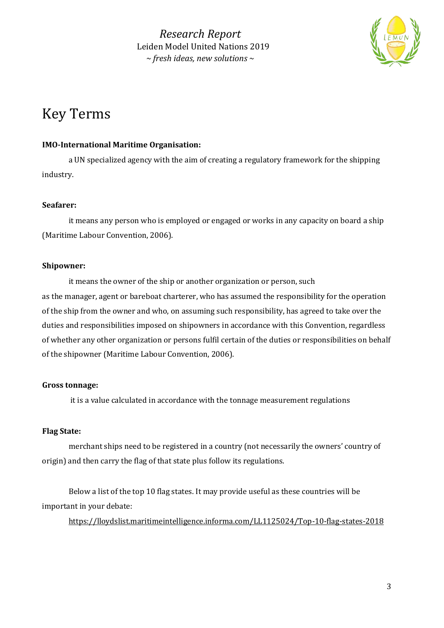

# Key Terms

## **IMO-International Maritime Organisation:**

a UN specialized agency with the aim of creating a regulatory framework for the shipping industry.

# **Seafarer:**

it means any person who is employed or engaged or works in any capacity on board a ship (Maritime Labour Convention, 2006).

## **Shipowner:**

it means the owner of the ship or another organization or person, such as the manager, agent or bareboat charterer, who has assumed the responsibility for the operation of the ship from the owner and who, on assuming such responsibility, has agreed to take over the duties and responsibilities imposed on shipowners in accordance with this Convention, regardless of whether any other organization or persons fulfil certain of the duties or responsibilities on behalf of the shipowner (Maritime Labour Convention, 2006).

# **Gross tonnage:**

it is a value calculated in accordance with the tonnage measurement regulations

# **Flag State:**

merchant ships need to be registered in a country (not necessarily the owners' country of origin) and then carry the flag of that state plus follow its regulations.

Below a list of the top 10 flag states. It may provide useful as these countries will be important in your debate:

<https://lloydslist.maritimeintelligence.informa.com/LL1125024/Top-10-flag-states-2018>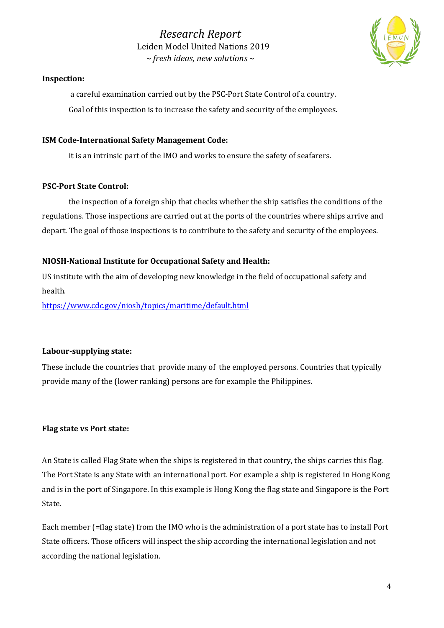

### **Inspection:**

a careful examination carried out by the PSC-Port State Control of a country. Goal of this inspection is to increase the safety and security of the employees.

### **ISM Code-International Safety Management Code:**

it is an intrinsic part of the IMO and works to ensure the safety of seafarers.

### **PSC-Port State Control:**

the inspection of a foreign ship that checks whether the ship satisfies the conditions of the regulations. Those inspections are carried out at the ports of the countries where ships arrive and depart. The goal of those inspections is to contribute to the safety and security of the employees.

### **NIOSH-National Institute for Occupational Safety and Health:**

US institute with the aim of developing new knowledge in the field of occupational safety and health.

<https://www.cdc.gov/niosh/topics/maritime/default.html>

### **Labour-supplying state:**

These include the countries that provide many of the employed persons. Countries that typically provide many of the (lower ranking) persons are for example the Philippines.

### **Flag state vs Port state:**

An State is called Flag State when the ships is registered in that country, the ships carries this flag. The Port State is any State with an international port. For example a ship is registered in Hong Kong and is in the port of Singapore. In this example is Hong Kong the flag state and Singapore is the Port State.

Each member (=flag state) from the IMO who is the administration of a port state has to install Port State officers. Those officers will inspect the ship according the international legislation and not according the national legislation.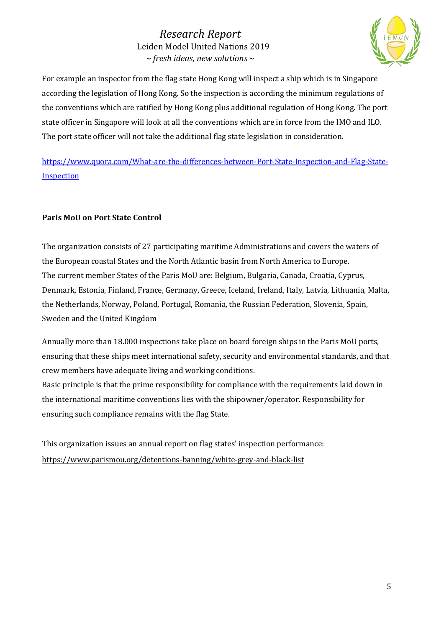

For example an inspector from the flag state Hong Kong will inspect a ship which is in Singapore according the legislation of Hong Kong. So the inspection is according the minimum regulations of the conventions which are ratified by Hong Kong plus additional regulation of Hong Kong. The port state officer in Singapore will look at all the conventions which are in force from the IMO and ILO. The port state officer will not take the additional flag state legislation in consideration.

[https://www.quora.com/What-are-the-differences-between-Port-State-Inspection-and-Flag-State-](https://www.quora.com/What-are-the-differences-between-Port-State-Inspection-and-Flag-State-Inspection)**[Inspection](https://www.quora.com/What-are-the-differences-between-Port-State-Inspection-and-Flag-State-Inspection)** 

# **Paris MoU on Port State Control**

The organization consists of 27 participating maritime Administrations and covers the waters of the European coastal States and the North Atlantic basin from North America to Europe. The current member States of the Paris MoU are: Belgium, Bulgaria, Canada, Croatia, Cyprus, Denmark, Estonia, Finland, France, Germany, Greece, Iceland, Ireland, Italy, Latvia, Lithuania, Malta, the Netherlands, Norway, Poland, Portugal, Romania, the Russian Federation, Slovenia, Spain, Sweden and the United Kingdom

Annually more than 18.000 inspections take place on board foreign ships in the Paris MoU ports, ensuring that these ships meet international safety, security and environmental standards, and that crew members have adequate living and working conditions.

Basic principle is that the prime responsibility for compliance with the requirements laid down in the international maritime conventions lies with the shipowner/operator. Responsibility for ensuring such compliance remains with the flag State.

This organization issues an annual report on flag states' inspection performance: <https://www.parismou.org/detentions-banning/white-grey-and-black-list>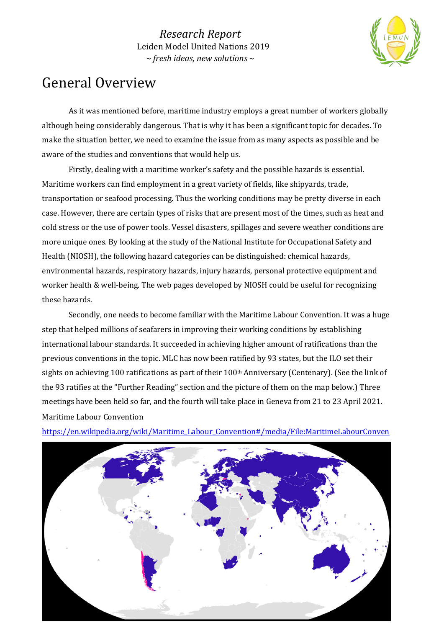

# General Overview

As it was mentioned before, maritime industry employs a great number of workers globally although being considerably dangerous. That is why it has been a significant topic for decades. To make the situation better, we need to examine the issue from as many aspects as possible and be aware of the studies and conventions that would help us.

Firstly, dealing with a maritime worker's safety and the possible hazards is essential. Maritime workers can find employment in a great variety of fields, like shipyards, trade, transportation or seafood processing. Thus the working conditions may be pretty diverse in each case. However, there are certain types of risks that are present most of the times, such as heat and cold stress or the use of power tools. Vessel disasters, spillages and severe weather conditions are more unique ones. By looking at the study of the National Institute for Occupational Safety and Health (NIOSH), the following hazard categories can be distinguished: chemical hazards, environmental hazards, respiratory hazards, injury hazards, personal protective equipment and worker health & well-being. The web pages developed by NIOSH could be useful for recognizing these hazards.

Secondly, one needs to become familiar with the Maritime Labour Convention. It was a huge step that helped millions of seafarers in improving their working conditions by establishing international labour standards. It succeeded in achieving higher amount of ratifications than the previous conventions in the topic. MLC has now been ratified by 93 states, but the ILO set their sights on achieving 100 ratifications as part of their 100<sup>th</sup> Anniversary (Centenary). (See the link of the 93 ratifies at the "Further Reading" section and the picture of them on the map below.) Three meetings have been held so far, and the fourth will take place in Geneva from 21 to 23 April 2021. Maritime Labour Convention



[https://en.wikipedia.org/wiki/Maritime\\_Labour\\_Convention#/media/File:MaritimeLabourConven](https://en.wikipedia.org/wiki/Maritime_Labour_Convention#/media/File:MaritimeLabourConvention.svg)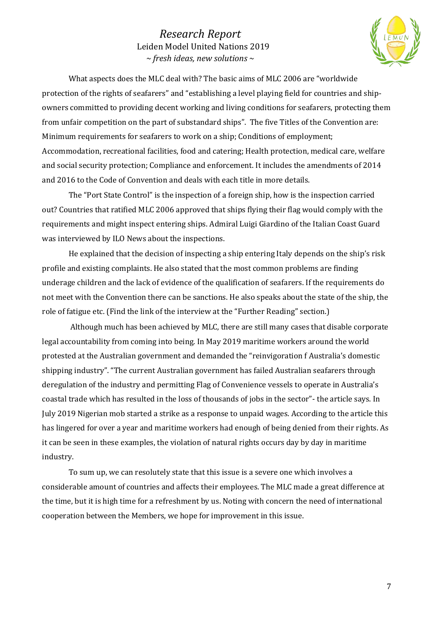

What aspects does the MLC deal with? The basic aims of MLC 2006 are "worldwide protection of the rights of seafarers" and "establishing a level playing field for countries and shipowners committed to providing decent working and living conditions for seafarers, protecting them from unfair competition on the part of substandard ships". The five Titles of the Convention are: Minimum requirements for seafarers to work on a ship; Conditions of employment; Accommodation, recreational facilities, food and catering; Health protection, medical care, welfare and social security protection; Compliance and enforcement. It includes the amendments of 2014 and 2016 to the Code of Convention and deals with each title in more details.

The "Port State Control" is the inspection of a foreign ship, how is the inspection carried out? Countries that ratified MLC 2006 approved that ships flying their flag would comply with the requirements and might inspect entering ships. Admiral Luigi Giardino of the Italian Coast Guard was interviewed by ILO News about the inspections.

He explained that the decision of inspecting a ship entering Italy depends on the ship's risk profile and existing complaints. He also stated that the most common problems are finding underage children and the lack of evidence of the qualification of seafarers. If the requirements do not meet with the Convention there can be sanctions. He also speaks about the state of the ship, the role of fatigue etc. (Find the link of the interview at the "Further Reading" section.)

Although much has been achieved by MLC, there are still many cases that disable corporate legal accountability from coming into being. In May 2019 maritime workers around the world protested at the Australian government and demanded the "reinvigoration f Australia's domestic shipping industry". "The current Australian government has failed Australian seafarers through deregulation of the industry and permitting Flag of Convenience vessels to operate in Australia's coastal trade which has resulted in the loss of thousands of jobs in the sector"- the article says. In July 2019 Nigerian mob started a strike as a response to unpaid wages. According to the article this has lingered for over a year and maritime workers had enough of being denied from their rights. As it can be seen in these examples, the violation of natural rights occurs day by day in maritime industry.

To sum up, we can resolutely state that this issue is a severe one which involves a considerable amount of countries and affects their employees. The MLC made a great difference at the time, but it is high time for a refreshment by us. Noting with concern the need of international cooperation between the Members, we hope for improvement in this issue.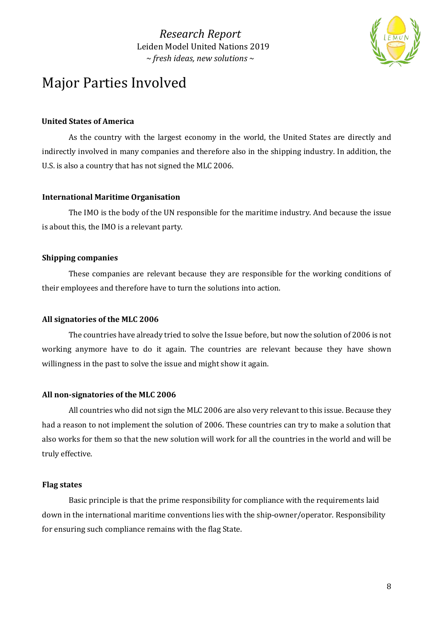

# Major Parties Involved

### **United States of America**

As the country with the largest economy in the world, the United States are directly and indirectly involved in many companies and therefore also in the shipping industry. In addition, the U.S. is also a country that has not signed the MLC 2006.

### **International Maritime Organisation**

The IMO is the body of the UN responsible for the maritime industry. And because the issue is about this, the IMO is a relevant party.

### **Shipping companies**

These companies are relevant because they are responsible for the working conditions of their employees and therefore have to turn the solutions into action.

### **All signatories of the MLC 2006**

The countries have already tried to solve the Issue before, but now the solution of 2006 is not working anymore have to do it again. The countries are relevant because they have shown willingness in the past to solve the issue and might show it again.

### **All non-signatories of the MLC 2006**

All countries who did not sign the MLC 2006 are also very relevant to this issue. Because they had a reason to not implement the solution of 2006. These countries can try to make a solution that also works for them so that the new solution will work for all the countries in the world and will be truly effective.

#### **Flag states**

Basic principle is that the prime responsibility for compliance with the requirements laid down in the international maritime conventions lies with the ship-owner/operator. Responsibility for ensuring such compliance remains with the flag State.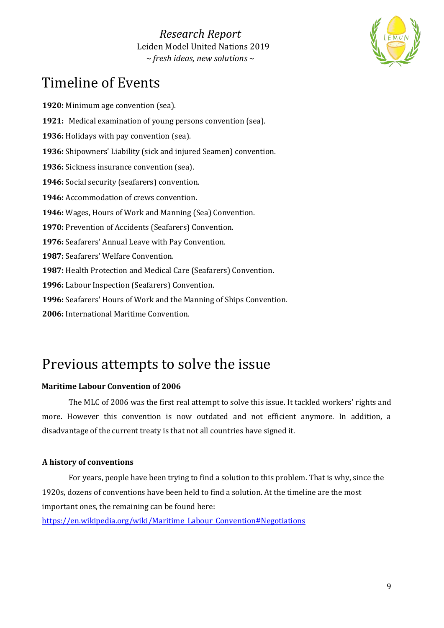

# Timeline of Events

**1920:** Minimum age convention (sea). **1921:** Medical examination of young persons convention (sea). **1936:** Holidays with pay convention (sea). **1936:** Shipowners' Liability (sick and injured Seamen) convention. **1936:** Sickness insurance convention (sea). **1946:** Social security (seafarers) convention. **1946:** Accommodation of crews convention. **1946:** Wages, Hours of Work and Manning (Sea) Convention. **1970:** Prevention of Accidents (Seafarers) Convention. **1976:** Seafarers' Annual Leave with Pay Convention. **1987:** Seafarers' Welfare Convention. **1987:** Health Protection and Medical Care (Seafarers) Convention. **1996:** Labour Inspection (Seafarers) Convention. **1996:** Seafarers' Hours of Work and the Manning of Ships Convention. **2006:** International Maritime Convention.

# Previous attempts to solve the issue

# **Maritime Labour Convention of 2006**

The MLC of 2006 was the first real attempt to solve this issue. It tackled workers' rights and more. However this convention is now outdated and not efficient anymore. In addition, a disadvantage of the current treaty is that not all countries have signed it.

# **A history of conventions**

For years, people have been trying to find a solution to this problem. That is why, since the 1920s, dozens of conventions have been held to find a solution. At the timeline are the most important ones, the remaining can be found here:

[https://en.wikipedia.org/wiki/Maritime\\_Labour\\_Convention#Negotiations](https://en.wikipedia.org/wiki/Maritime_Labour_Convention#Negotiations)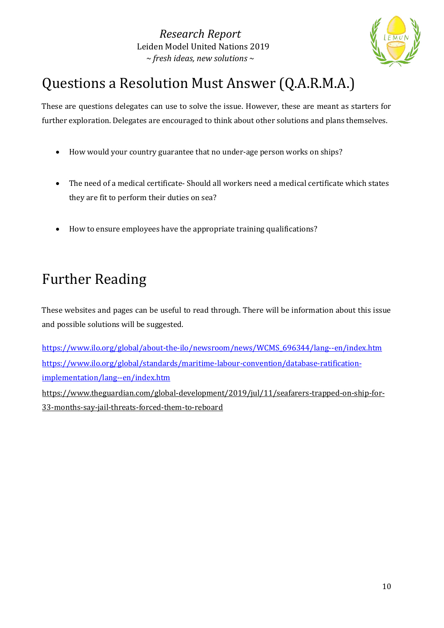

# Questions a Resolution Must Answer (Q.A.R.M.A.)

These are questions delegates can use to solve the issue. However, these are meant as starters for further exploration. Delegates are encouraged to think about other solutions and plans themselves.

- How would your country guarantee that no under-age person works on ships?
- The need of a medical certificate- Should all workers need a medical certificate which states they are fit to perform their duties on sea?
- How to ensure employees have the appropriate training qualifications?

# Further Reading

These websites and pages can be useful to read through. There will be information about this issue and possible solutions will be suggested.

[https://www.ilo.org/global/about-the-ilo/newsroom/news/WCMS\\_696344/lang--en/index.htm](https://www.ilo.org/global/about-the-ilo/newsroom/news/WCMS_696344/lang--en/index.htm) [https://www.ilo.org/global/standards/maritime-labour-convention/database-ratification](https://www.ilo.org/global/standards/maritime-labour-convention/database-ratification-implementation/lang--en/index.htm)[implementation/lang--en/index.htm](https://www.ilo.org/global/standards/maritime-labour-convention/database-ratification-implementation/lang--en/index.htm) [https://www.theguardian.com/global-development/2019/jul/11/seafarers-trapped-on-ship-for-](https://www.theguardian.com/global-development/2019/jul/11/seafarers-trapped-on-ship-for-33-months-say-jail-threats-forced-them-to-reboard)

[33-months-say-jail-threats-forced-them-to-reboard](https://www.theguardian.com/global-development/2019/jul/11/seafarers-trapped-on-ship-for-33-months-say-jail-threats-forced-them-to-reboard)